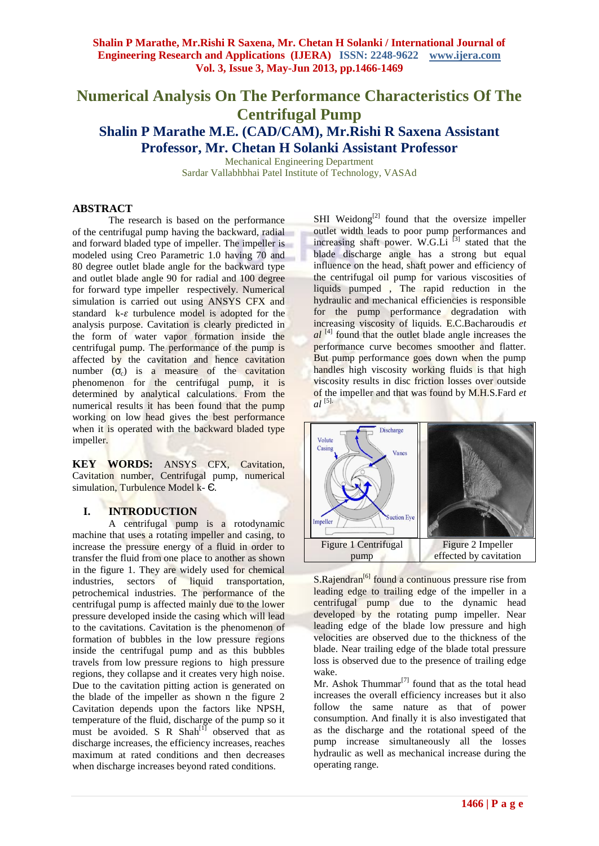# **Numerical Analysis On The Performance Characteristics Of The Centrifugal Pump Shalin P Marathe M.E. (CAD/CAM), Mr.Rishi R Saxena Assistant Professor, Mr. Chetan H Solanki Assistant Professor**

Mechanical Engineering Department Sardar Vallabhbhai Patel Institute of Technology, VASAd

#### **ABSTRACT**

The research is based on the performance of the centrifugal pump having the backward, radial and forward bladed type of impeller. The impeller is modeled using Creo Parametric 1.0 having 70 and 80 degree outlet blade angle for the backward type and outlet blade angle 90 for radial and 100 degree for forward type impeller respectively. Numerical simulation is carried out using ANSYS CFX and standard  $k-\varepsilon$  turbulence model is adopted for the analysis purpose. Cavitation is clearly predicted in the form of water vapor formation inside the centrifugal pump. The performance of the pump is affected by the cavitation and hence cavitation number  $(\sigma_c)$  is a measure of the cavitation phenomenon for the centrifugal pump, it is determined by analytical calculations. From the numerical results it has been found that the pump working on low head gives the best performance when it is operated with the backward bladed type impeller.

**KEY WORDS:** ANSYS CFX, Cavitation, Cavitation number, Centrifugal pump, numerical simulation, Turbulence Model k-  $\epsilon$ .

# **I. INTRODUCTION**

A centrifugal pump is a rotodynamic machine that uses a rotating impeller and casing, to increase the pressure energy of a fluid in order to transfer the fluid from one place to another as shown in the figure 1. They are widely used for chemical industries, sectors of liquid transportation, petrochemical industries. The performance of the centrifugal pump is affected mainly due to the lower pressure developed inside the casing which will lead to the cavitations. Cavitation is the phenomenon of formation of bubbles in the low pressure regions inside the centrifugal pump and as this bubbles travels from low pressure regions to high pressure regions, they collapse and it creates very high noise. Due to the cavitation pitting action is generated on the blade of the impeller as shown n the figure 2 Cavitation depends upon the factors like NPSH, temperature of the fluid, discharge of the pump so it must be avoided. S R  $Shah^{[1]}$  observed that as discharge increases, the efficiency increases, reaches maximum at rated conditions and then decreases when discharge increases beyond rated conditions.

SHI Weidong<sup>[2]</sup> found that the oversize impeller outlet width leads to poor pump performances and increasing shaft power. W.G.Li  $^{[3]}$  stated that the blade discharge angle has a strong but equal influence on the head, shaft power and efficiency of the centrifugal oil pump for various viscosities of liquids pumped , The rapid reduction in the hydraulic and mechanical efficiencies is responsible for the pump performance degradation with increasing viscosity of liquids. E.C.Bacharoudis *et al* <sup>[4]</sup> found that the outlet blade angle increases the performance curve becomes smoother and flatter. But pump performance goes down when the pump handles high viscosity working fluids is that high viscosity results in disc friction losses over outside of the impeller and that was found by M.H.S.Fard *et*   $a^{[5]}$ .



S.Rajendran<sup>[6]</sup> found a continuous pressure rise from leading edge to trailing edge of the impeller in a centrifugal pump due to the dynamic head developed by the rotating pump impeller. Near leading edge of the blade low pressure and high velocities are observed due to the thickness of the blade. Near trailing edge of the blade total pressure loss is observed due to the presence of trailing edge wake.

Mr. Ashok Thummar $^{[7]}$  found that as the total head increases the overall efficiency increases but it also follow the same nature as that of power consumption. And finally it is also investigated that as the discharge and the rotational speed of the pump increase simultaneously all the losses hydraulic as well as mechanical increase during the operating range.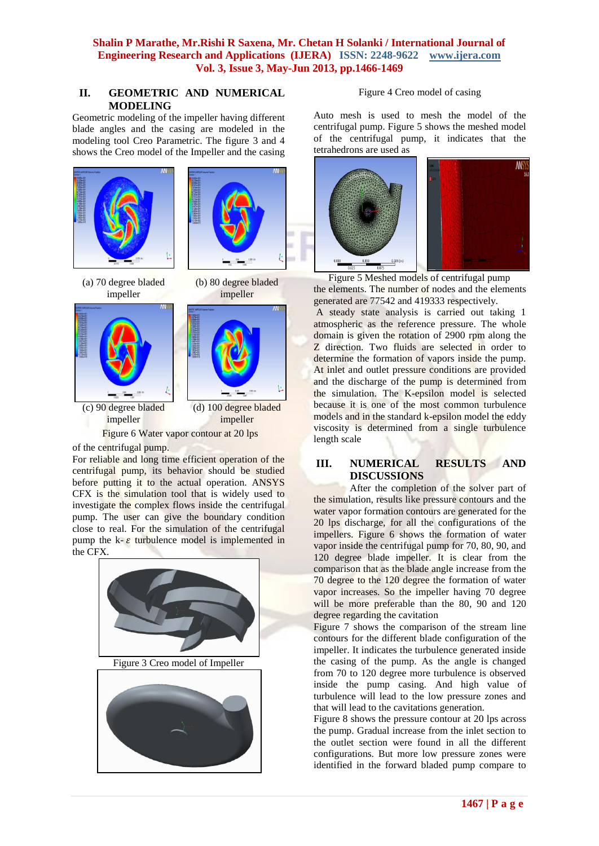**Shalin P Marathe, Mr.Rishi R Saxena, Mr. Chetan H Solanki / International Journal of Engineering Research and Applications (IJERA) ISSN: 2248-9622 www.ijera.com Vol. 3, Issue 3, May-Jun 2013, pp.1466-1469**

## **II. GEOMETRIC AND NUMERICAL MODELING**

Geometric modeling of the impeller having different blade angles and the casing are modeled in the modeling tool Creo Parametric. The figure 3 and 4 shows the Creo model of the Impeller and the casing





(a) 70 degree bladed impeller







(d) 100 degree bladed impeller Figure 6 Water vapor contour at 20 lps

of the centrifugal pump.

For reliable and long time efficient operation of the centrifugal pump, its behavior should be studied before putting it to the actual operation. ANSYS CFX is the simulation tool that is widely used to investigate the complex flows inside the centrifugal pump. The user can give the boundary condition close to real. For the simulation of the centrifugal pump the  $k - \varepsilon$  turbulence model is implemented in the CFX.





#### Figure 4 Creo model of casing

Auto mesh is used to mesh the model of the centrifugal pump. Figure 5 shows the meshed model of the centrifugal pump, it indicates that the tetrahedrons are used as



Figure 5 Meshed models of centrifugal pump the elements. The number of nodes and the elements generated are 77542 and 419333 respectively.

A steady state analysis is carried out taking 1 atmospheric as the reference pressure. The whole domain is given the rotation of 2900 rpm along the Z direction. Two fluids are selected in order to determine the formation of vapors inside the pump. At inlet and outlet pressure conditions are provided and the discharge of the pump is determined from the simulation. The K-epsilon model is selected because it is one of the most common [turbulence](http://www.cfd-online.com/Wiki/Turbulence_modeling)  [models](http://www.cfd-online.com/Wiki/Turbulence_modeling) and in the standard k-epsilon model the eddy viscosity is determined from a single turbulence length scale

### **III. NUMERICAL RESULTS AND DISCUSSIONS**

After the completion of the solver part of the simulation, results like pressure contours and the water vapor formation contours are generated for the 20 lps discharge, for all the configurations of the impellers. Figure 6 shows the formation of water vapor inside the centrifugal pump for 70, 80, 90, and 120 degree blade impeller. It is clear from the comparison that as the blade angle increase from the 70 degree to the 120 degree the formation of water vapor increases. So the impeller having 70 degree will be more preferable than the 80, 90 and 120 degree regarding the cavitation

Figure 7 shows the comparison of the stream line contours for the different blade configuration of the impeller. It indicates the turbulence generated inside the casing of the pump. As the angle is changed from 70 to 120 degree more turbulence is observed inside the pump casing. And high value of turbulence will lead to the low pressure zones and that will lead to the cavitations generation.

Figure 8 shows the pressure contour at 20 lps across the pump. Gradual increase from the inlet section to the outlet section were found in all the different configurations. But more low pressure zones were identified in the forward bladed pump compare to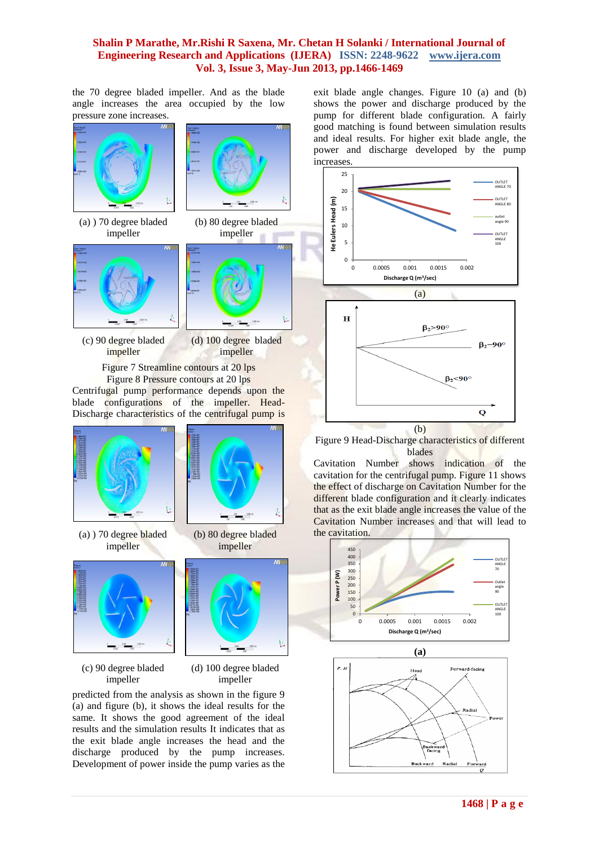#### **Shalin P Marathe, Mr.Rishi R Saxena, Mr. Chetan H Solanki / International Journal of Engineering Research and Applications (IJERA) ISSN: 2248-9622 www.ijera.com Vol. 3, Issue 3, May-Jun 2013, pp.1466-1469**

the 70 degree bladed impeller. And as the blade angle increases the area occupied by the low pressure zone increases.



(c) 90 degree bladed impeller

(d) 100 degree bladed impeller

predicted from the analysis as shown in the figure 9 (a) and figure (b), it shows the ideal results for the same. It shows the good agreement of the ideal results and the simulation results It indicates that as the exit blade angle increases the head and the discharge produced by the pump increases. Development of power inside the pump varies as the exit blade angle changes. Figure 10 (a) and (b) shows the power and discharge produced by the pump for different blade configuration. A fairly good matching is found between simulation results and ideal results. For higher exit blade angle, the power and discharge developed by the pump increases.



Figure 9 Head-Discharge characteristics of different blades

Cavitation Number shows indication of the cavitation for the centrifugal pump. Figure 11 shows the effect of discharge on Cavitation Number for the different blade configuration and it clearly indicates that as the exit blade angle increases the value of the Cavitation Number increases and that will lead to the cavitation.